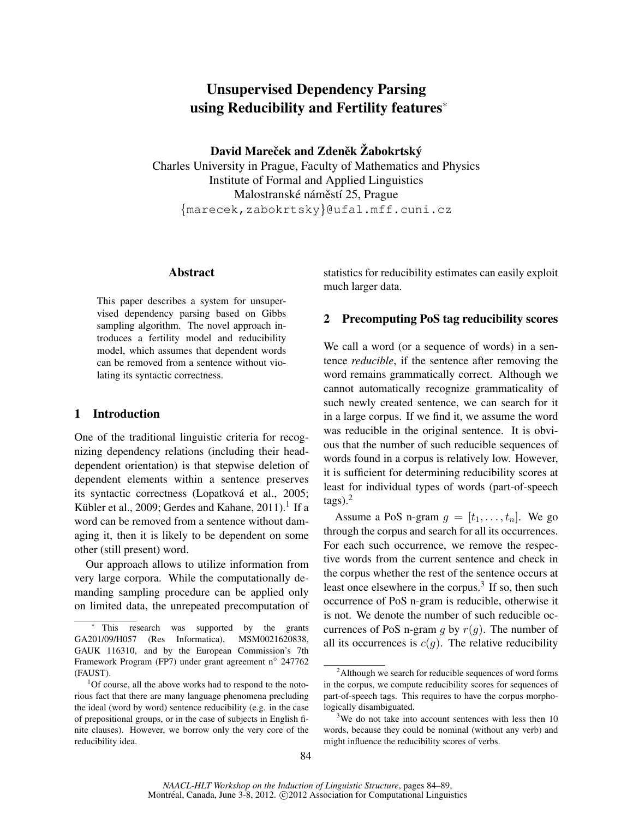# Unsupervised Dependency Parsing using Reducibility and Fertility features<sup>∗</sup>

David Mareček and Zdeněk Žabokrtský Charles University in Prague, Faculty of Mathematics and Physics Institute of Formal and Applied Linguistics Malostranské náměstí 25, Prague {marecek,zabokrtsky}@ufal.mff.cuni.cz

### Abstract

This paper describes a system for unsupervised dependency parsing based on Gibbs sampling algorithm. The novel approach introduces a fertility model and reducibility model, which assumes that dependent words can be removed from a sentence without violating its syntactic correctness.

### 1 Introduction

One of the traditional linguistic criteria for recognizing dependency relations (including their headdependent orientation) is that stepwise deletion of dependent elements within a sentence preserves its syntactic correctness (Lopatková et al., 2005; Kübler et al., 2009; Gerdes and Kahane, 2011). $^1$  If a word can be removed from a sentence without damaging it, then it is likely to be dependent on some other (still present) word.

Our approach allows to utilize information from very large corpora. While the computationally demanding sampling procedure can be applied only on limited data, the unrepeated precomputation of

statistics for reducibility estimates can easily exploit much larger data.

## 2 Precomputing PoS tag reducibility scores

We call a word (or a sequence of words) in a sentence *reducible*, if the sentence after removing the word remains grammatically correct. Although we cannot automatically recognize grammaticality of such newly created sentence, we can search for it in a large corpus. If we find it, we assume the word was reducible in the original sentence. It is obvious that the number of such reducible sequences of words found in a corpus is relatively low. However, it is sufficient for determining reducibility scores at least for individual types of words (part-of-speech  $tags).<sup>2</sup>$ 

Assume a PoS n-gram  $g = [t_1, \ldots, t_n]$ . We go through the corpus and search for all its occurrences. For each such occurrence, we remove the respective words from the current sentence and check in the corpus whether the rest of the sentence occurs at least once elsewhere in the corpus.<sup>3</sup> If so, then such occurrence of PoS n-gram is reducible, otherwise it is not. We denote the number of such reducible occurrences of PoS n-gram g by  $r(g)$ . The number of all its occurrences is  $c(g)$ . The relative reducibility

This research was supported by the grants GA201/09/H057 (Res Informatica), MSM0021620838, GAUK 116310, and by the European Commission's 7th Framework Program (FP7) under grant agreement n° 247762 (FAUST).

<sup>&</sup>lt;sup>1</sup>Of course, all the above works had to respond to the notorious fact that there are many language phenomena precluding the ideal (word by word) sentence reducibility (e.g. in the case of prepositional groups, or in the case of subjects in English finite clauses). However, we borrow only the very core of the reducibility idea.

<sup>&</sup>lt;sup>2</sup>Although we search for reducible sequences of word forms in the corpus, we compute reducibility scores for sequences of part-of-speech tags. This requires to have the corpus morphologically disambiguated.

<sup>&</sup>lt;sup>3</sup>We do not take into account sentences with less then 10 words, because they could be nominal (without any verb) and might influence the reducibility scores of verbs.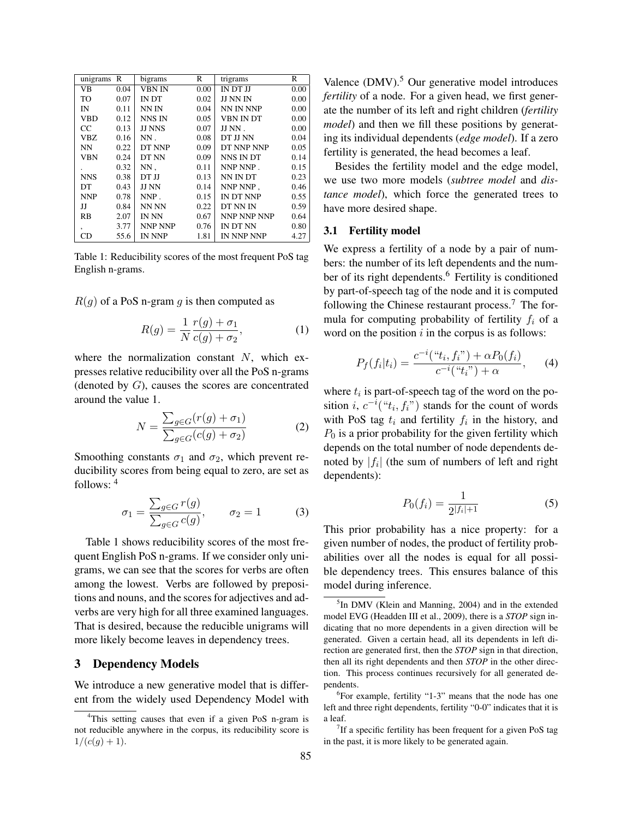| unigrams      | R    | bigrams       | R    | trigrams    | R    |
|---------------|------|---------------|------|-------------|------|
| <b>VB</b>     | 0.04 | <b>VBN IN</b> | 0.00 | IN DT JJ    | 0.00 |
| TO            | 0.07 | <b>IN DT</b>  | 0.02 | JJ NN IN    | 0.00 |
| IN            | 0.11 | NN IN         | 0.04 | NN IN NNP   | 0.00 |
| <b>VBD</b>    | 0.12 | NNS IN        | 0.05 | VBN IN DT   | 0.00 |
| <sub>CC</sub> | 0.13 | <b>JJ NNS</b> | 0.07 | JJ NN.      | 0.00 |
| VBZ.          | 0.16 | $NN$ .        | 0.08 | DT JJ NN    | 0.04 |
| <b>NN</b>     | 0.22 | DT NNP        | 0.09 | DT NNP NNP  | 0.05 |
| <b>VBN</b>    | 0.24 | DT NN         | 0.09 | NNS IN DT   | 0.14 |
|               | 0.32 | $NN$ .        | 0.11 | NNP NNP.    | 0.15 |
| <b>NNS</b>    | 0.38 | DT JJ         | 0.13 | NN IN DT    | 0.23 |
| DT            | 0.43 | JJ NN         | 0.14 | NNP NNP,    | 0.46 |
| <b>NNP</b>    | 0.78 | $NNP$ .       | 0.15 | IN DT NNP   | 0.55 |
| IJ            | 0.84 | NN NN         | 0.22 | DT NN IN    | 0.59 |
| <b>RB</b>     | 2.07 | IN NN         | 0.67 | NNP NNP NNP | 0.64 |
| $\cdot$       | 3.77 | NNP NNP       | 0.76 | IN DT NN    | 0.80 |
| CD            | 55.6 | IN NNP        | 1.81 | IN NNP NNP  | 4.27 |

Table 1: Reducibility scores of the most frequent PoS tag English n-grams.

 $R(g)$  of a PoS n-gram g is then computed as

$$
R(g) = \frac{1}{N} \frac{r(g) + \sigma_1}{c(g) + \sigma_2},\tag{1}
$$

where the normalization constant  $N$ , which expresses relative reducibility over all the PoS n-grams (denoted by  $G$ ), causes the scores are concentrated around the value 1.

$$
N = \frac{\sum_{g \in G} (r(g) + \sigma_1)}{\sum_{g \in G} (c(g) + \sigma_2)}
$$
(2)

Smoothing constants  $\sigma_1$  and  $\sigma_2$ , which prevent reducibility scores from being equal to zero, are set as follows: <sup>4</sup>

$$
\sigma_1 = \frac{\sum_{g \in G} r(g)}{\sum_{g \in G} c(g)}, \qquad \sigma_2 = 1 \tag{3}
$$

Table 1 shows reducibility scores of the most frequent English PoS n-grams. If we consider only unigrams, we can see that the scores for verbs are often among the lowest. Verbs are followed by prepositions and nouns, and the scores for adjectives and adverbs are very high for all three examined languages. That is desired, because the reducible unigrams will more likely become leaves in dependency trees.

### 3 Dependency Models

We introduce a new generative model that is different from the widely used Dependency Model with

Valence (DMV).<sup>5</sup> Our generative model introduces *fertility* of a node. For a given head, we first generate the number of its left and right children (*fertility model*) and then we fill these positions by generating its individual dependents (*edge model*). If a zero fertility is generated, the head becomes a leaf.

Besides the fertility model and the edge model, we use two more models (*subtree model* and *distance model*), which force the generated trees to have more desired shape.

#### 3.1 Fertility model

We express a fertility of a node by a pair of numbers: the number of its left dependents and the number of its right dependents.<sup>6</sup> Fertility is conditioned by part-of-speech tag of the node and it is computed following the Chinese restaurant process.<sup>7</sup> The formula for computing probability of fertility  $f_i$  of a word on the position  $i$  in the corpus is as follows:

$$
P_f(f_i|t_i) = \frac{c^{-i}("t_i, f_i") + \alpha P_0(f_i)}{c^{-i}("t_i") + \alpha}, \qquad (4)
$$

where  $t_i$  is part-of-speech tag of the word on the position *i*,  $c^{-i}$ (" $t_i, f_i$ ") stands for the count of words with PoS tag  $t_i$  and fertility  $f_i$  in the history, and  $P_0$  is a prior probability for the given fertility which depends on the total number of node dependents denoted by  $|f_i|$  (the sum of numbers of left and right dependents):

$$
P_0(f_i) = \frac{1}{2|f_i|+1} \tag{5}
$$

This prior probability has a nice property: for a given number of nodes, the product of fertility probabilities over all the nodes is equal for all possible dependency trees. This ensures balance of this model during inference.

<sup>&</sup>lt;sup>4</sup>This setting causes that even if a given PoS n-gram is not reducible anywhere in the corpus, its reducibility score is  $1/(c(g) + 1).$ 

<sup>&</sup>lt;sup>5</sup>In DMV (Klein and Manning, 2004) and in the extended model EVG (Headden III et al., 2009), there is a *STOP* sign indicating that no more dependents in a given direction will be generated. Given a certain head, all its dependents in left direction are generated first, then the *STOP* sign in that direction, then all its right dependents and then *STOP* in the other direction. This process continues recursively for all generated dependents.

<sup>6</sup> For example, fertility "1-3" means that the node has one left and three right dependents, fertility "0-0" indicates that it is a leaf.

 $7$ If a specific fertility has been frequent for a given PoS tag in the past, it is more likely to be generated again.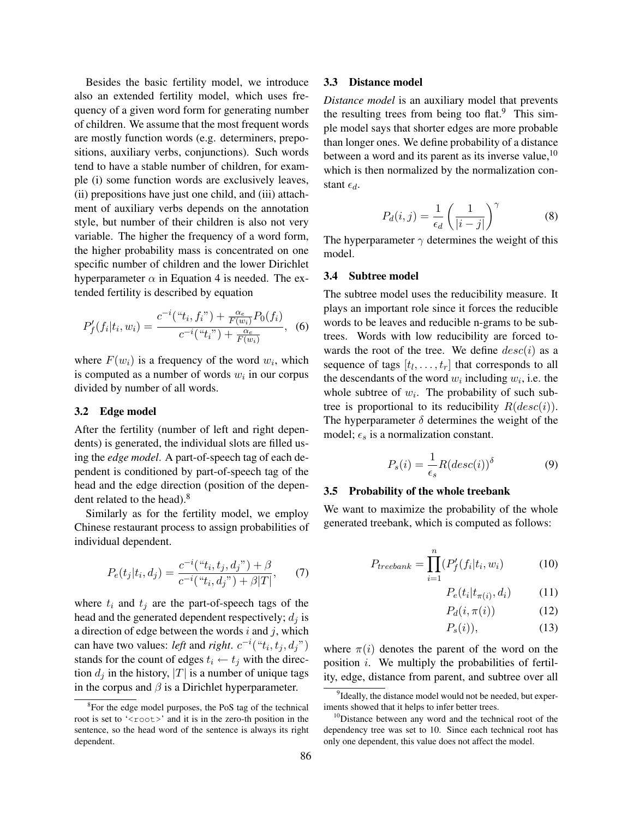Besides the basic fertility model, we introduce also an extended fertility model, which uses frequency of a given word form for generating number of children. We assume that the most frequent words are mostly function words (e.g. determiners, prepositions, auxiliary verbs, conjunctions). Such words tend to have a stable number of children, for example (i) some function words are exclusively leaves, (ii) prepositions have just one child, and (iii) attachment of auxiliary verbs depends on the annotation style, but number of their children is also not very variable. The higher the frequency of a word form, the higher probability mass is concentrated on one specific number of children and the lower Dirichlet hyperparameter  $\alpha$  in Equation 4 is needed. The extended fertility is described by equation

$$
P'_{f}(f_i|t_i, w_i) = \frac{c^{-i}("t_i, f_i") + \frac{\alpha_e}{F(w_i)}P_0(f_i)}{c^{-i}("t_i") + \frac{\alpha_e}{F(w_i)}}, \quad (6)
$$

where  $F(w_i)$  is a frequency of the word  $w_i$ , which is computed as a number of words  $w_i$  in our corpus divided by number of all words.

#### 3.2 Edge model

After the fertility (number of left and right dependents) is generated, the individual slots are filled using the *edge model*. A part-of-speech tag of each dependent is conditioned by part-of-speech tag of the head and the edge direction (position of the dependent related to the head).<sup>8</sup>

Similarly as for the fertility model, we employ Chinese restaurant process to assign probabilities of individual dependent.

$$
P_e(t_j|t_i, d_j) = \frac{c^{-i}("t_i, t_j, d_j") + \beta}{c^{-i}("t_i, d_j") + \beta|T|}, \quad (7)
$$

where  $t_i$  and  $t_j$  are the part-of-speech tags of the head and the generated dependent respectively;  $d_i$  is a direction of edge between the words  $i$  and  $j$ , which can have two values: *left* and *right*.  $c^{-i}("t_i, t_j, d_j")$ stands for the count of edges  $t_i \leftarrow t_j$  with the direction  $d_i$  in the history, |T| is a number of unique tags in the corpus and  $\beta$  is a Dirichlet hyperparameter.

#### 3.3 Distance model

*Distance model* is an auxiliary model that prevents the resulting trees from being too flat. $9$  This simple model says that shorter edges are more probable than longer ones. We define probability of a distance between a word and its parent as its inverse value,  $10$ which is then normalized by the normalization constant  $\epsilon_d$ .

$$
P_d(i,j) = \frac{1}{\epsilon_d} \left( \frac{1}{|i-j|} \right)^{\gamma}
$$
 (8)

The hyperparameter  $\gamma$  determines the weight of this model.

#### 3.4 Subtree model

The subtree model uses the reducibility measure. It plays an important role since it forces the reducible words to be leaves and reducible n-grams to be subtrees. Words with low reducibility are forced towards the root of the tree. We define  $desc(i)$  as a sequence of tags  $[t_1, \ldots, t_r]$  that corresponds to all the descendants of the word  $w_i$  including  $w_i$ , i.e. the whole subtree of  $w_i$ . The probability of such subtree is proportional to its reducibility  $R(desc(i))$ . The hyperparameter  $\delta$  determines the weight of the model;  $\epsilon_s$  is a normalization constant.

$$
P_s(i) = \frac{1}{\epsilon_s} R (desc(i))^{\delta} \tag{9}
$$

#### 3.5 Probability of the whole treebank

We want to maximize the probability of the whole generated treebank, which is computed as follows:

$$
P_{treebank} = \prod_{i=1}^{n} (P'_f(f_i|t_i, w_i)
$$
 (10)

$$
P_e(t_i|t_{\pi(i)}, d_i) \tag{11}
$$

$$
P_d(i, \pi(i))\tag{12}
$$

$$
P_s(i)),\tag{13}
$$

where  $\pi(i)$  denotes the parent of the word on the position i. We multiply the probabilities of fertility, edge, distance from parent, and subtree over all

<sup>&</sup>lt;sup>8</sup>For the edge model purposes, the PoS tag of the technical root is set to '<root>' and it is in the zero-th position in the sentence, so the head word of the sentence is always its right dependent.

<sup>&</sup>lt;sup>9</sup>Ideally, the distance model would not be needed, but experiments showed that it helps to infer better trees.

<sup>&</sup>lt;sup>10</sup>Distance between any word and the technical root of the dependency tree was set to 10. Since each technical root has only one dependent, this value does not affect the model.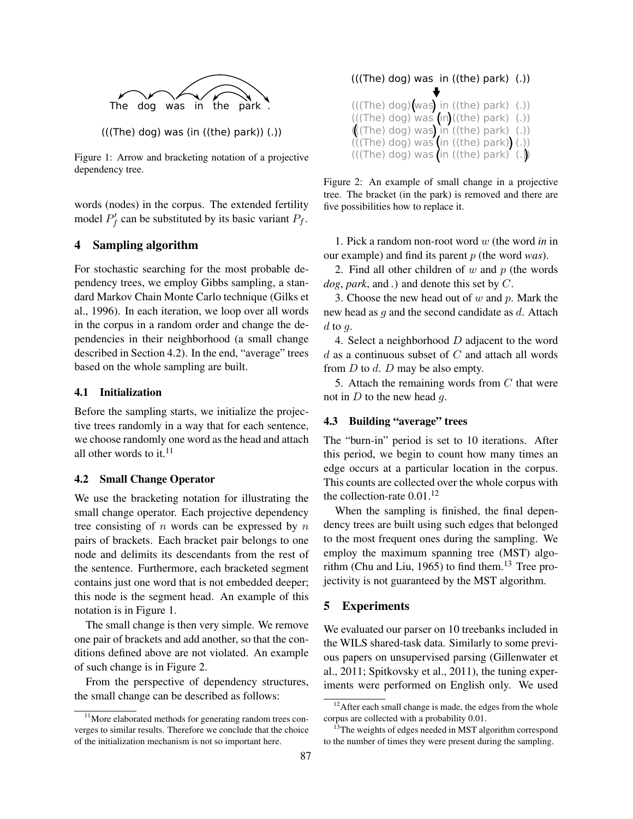

Figure 1: Arrow and bracketing notation of a projective dependency tree.

words (nodes) in the corpus. The extended fertility model  $P'_f$  can be substituted by its basic variant  $P_f$ .

### 4 Sampling algorithm

For stochastic searching for the most probable dependency trees, we employ Gibbs sampling, a standard Markov Chain Monte Carlo technique (Gilks et al., 1996). In each iteration, we loop over all words in the corpus in a random order and change the dependencies in their neighborhood (a small change described in Section 4.2). In the end, "average" trees based on the whole sampling are built.

### 4.1 Initialization

Before the sampling starts, we initialize the projective trees randomly in a way that for each sentence, we choose randomly one word as the head and attach all other words to it.<sup>11</sup>

### 4.2 Small Change Operator

We use the bracketing notation for illustrating the small change operator. Each projective dependency tree consisting of  $n$  words can be expressed by  $n$ pairs of brackets. Each bracket pair belongs to one node and delimits its descendants from the rest of the sentence. Furthermore, each bracketed segment contains just one word that is not embedded deeper; this node is the segment head. An example of this notation is in Figure 1.

The small change is then very simple. We remove one pair of brackets and add another, so that the conditions defined above are not violated. An example of such change is in Figure 2.

From the perspective of dependency structures, the small change can be described as follows:

| (((The) dog) was in ((the) park) )                                                                                                                                                                                                                   |
|------------------------------------------------------------------------------------------------------------------------------------------------------------------------------------------------------------------------------------------------------|
| $(((The) dog)(was)$ in $((the) park)$ (.))<br>$(((The) dog) was (in)((the) park) (.))$<br>$\left(\left(\frac{7}{1}he\right) dog\right)$ was in ((the) park) (.))<br>(((The) dog) was (in ((the) park) (.))<br>(((The) dog) was (in ((the) park) (.)) |
|                                                                                                                                                                                                                                                      |

Figure 2: An example of small change in a projective tree. The bracket (in the park) is removed and there are five possibilities how to replace it.

1. Pick a random non-root word w (the word *in* in our example) and find its parent p (the word *was*).

2. Find all other children of  $w$  and  $p$  (the words *dog*, *park*, and *.*) and denote this set by C.

3. Choose the new head out of  $w$  and  $p$ . Mark the new head as  $q$  and the second candidate as  $d$ . Attach  $d$  to  $q$ .

4. Select a neighborhood  $D$  adjacent to the word d as a continuous subset of  $C$  and attach all words from  $D$  to  $d$ .  $D$  may be also empty.

5. Attach the remaining words from  $C$  that were not in  $D$  to the new head  $g$ .

### 4.3 Building "average" trees

The "burn-in" period is set to 10 iterations. After this period, we begin to count how many times an edge occurs at a particular location in the corpus. This counts are collected over the whole corpus with the collection-rate  $0.01$ .<sup>12</sup>

When the sampling is finished, the final dependency trees are built using such edges that belonged to the most frequent ones during the sampling. We employ the maximum spanning tree (MST) algorithm (Chu and Liu, 1965) to find them.<sup>13</sup> Tree projectivity is not guaranteed by the MST algorithm.

### 5 Experiments

We evaluated our parser on 10 treebanks included in the WILS shared-task data. Similarly to some previous papers on unsupervised parsing (Gillenwater et al., 2011; Spitkovsky et al., 2011), the tuning experiments were performed on English only. We used

 $11$ More elaborated methods for generating random trees converges to similar results. Therefore we conclude that the choice of the initialization mechanism is not so important here.

 $12$ After each small change is made, the edges from the whole corpus are collected with a probability 0.01.

<sup>&</sup>lt;sup>13</sup>The weights of edges needed in MST algorithm correspond to the number of times they were present during the sampling.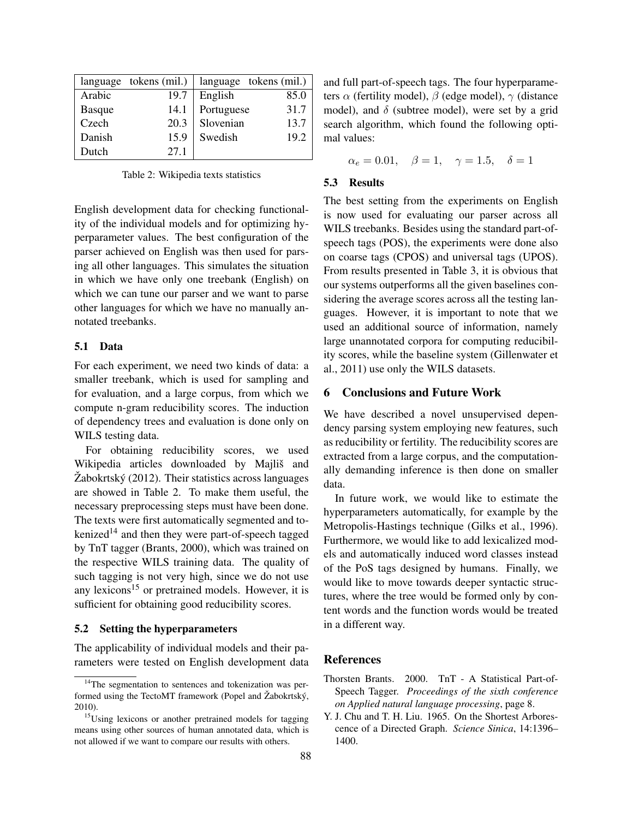|               | language tokens (mil.) |            | language tokens (mil.) |
|---------------|------------------------|------------|------------------------|
| Arabic        | 19.7                   | English    | 85.0                   |
| <b>Basque</b> | 14.1                   | Portuguese | 31.7                   |
| Czech         | 20.3                   | Slovenian  | 13.7                   |
| Danish        | 15.9                   | Swedish    | 19.2                   |
| Dutch         | 27.1                   |            |                        |

Table 2: Wikipedia texts statistics

English development data for checking functionality of the individual models and for optimizing hyperparameter values. The best configuration of the parser achieved on English was then used for parsing all other languages. This simulates the situation in which we have only one treebank (English) on which we can tune our parser and we want to parse other languages for which we have no manually annotated treebanks.

### 5.1 Data

For each experiment, we need two kinds of data: a smaller treebank, which is used for sampling and for evaluation, and a large corpus, from which we compute n-gram reducibility scores. The induction of dependency trees and evaluation is done only on WILS testing data.

For obtaining reducibility scores, we used Wikipedia articles downloaded by Majliš and  $\check{Z}$ abokrtský (2012). Their statistics across languages are showed in Table 2. To make them useful, the necessary preprocessing steps must have been done. The texts were first automatically segmented and tokenized<sup>14</sup> and then they were part-of-speech tagged by TnT tagger (Brants, 2000), which was trained on the respective WILS training data. The quality of such tagging is not very high, since we do not use any lexicons $15$  or pretrained models. However, it is sufficient for obtaining good reducibility scores.

### 5.2 Setting the hyperparameters

The applicability of individual models and their parameters were tested on English development data and full part-of-speech tags. The four hyperparameters  $\alpha$  (fertility model),  $\beta$  (edge model),  $\gamma$  (distance model), and  $\delta$  (subtree model), were set by a grid search algorithm, which found the following optimal values:

$$
\alpha_e = 0.01, \quad \beta = 1, \quad \gamma = 1.5, \quad \delta = 1
$$

#### 5.3 Results

The best setting from the experiments on English is now used for evaluating our parser across all WILS treebanks. Besides using the standard part-ofspeech tags (POS), the experiments were done also on coarse tags (CPOS) and universal tags (UPOS). From results presented in Table 3, it is obvious that our systems outperforms all the given baselines considering the average scores across all the testing languages. However, it is important to note that we used an additional source of information, namely large unannotated corpora for computing reducibility scores, while the baseline system (Gillenwater et al., 2011) use only the WILS datasets.

### 6 Conclusions and Future Work

We have described a novel unsupervised dependency parsing system employing new features, such as reducibility or fertility. The reducibility scores are extracted from a large corpus, and the computationally demanding inference is then done on smaller data.

In future work, we would like to estimate the hyperparameters automatically, for example by the Metropolis-Hastings technique (Gilks et al., 1996). Furthermore, we would like to add lexicalized models and automatically induced word classes instead of the PoS tags designed by humans. Finally, we would like to move towards deeper syntactic structures, where the tree would be formed only by content words and the function words would be treated in a different way.

#### References

- Thorsten Brants. 2000. TnT A Statistical Part-of-Speech Tagger. *Proceedings of the sixth conference on Applied natural language processing*, page 8.
- Y. J. Chu and T. H. Liu. 1965. On the Shortest Arborescence of a Directed Graph. *Science Sinica*, 14:1396– 1400.

<sup>&</sup>lt;sup>14</sup>The segmentation to sentences and tokenization was performed using the TectoMT framework (Popel and  $\check{Z}$ abokrtský, 2010).

<sup>&</sup>lt;sup>15</sup>Using lexicons or another pretrained models for tagging means using other sources of human annotated data, which is not allowed if we want to compare our results with others.